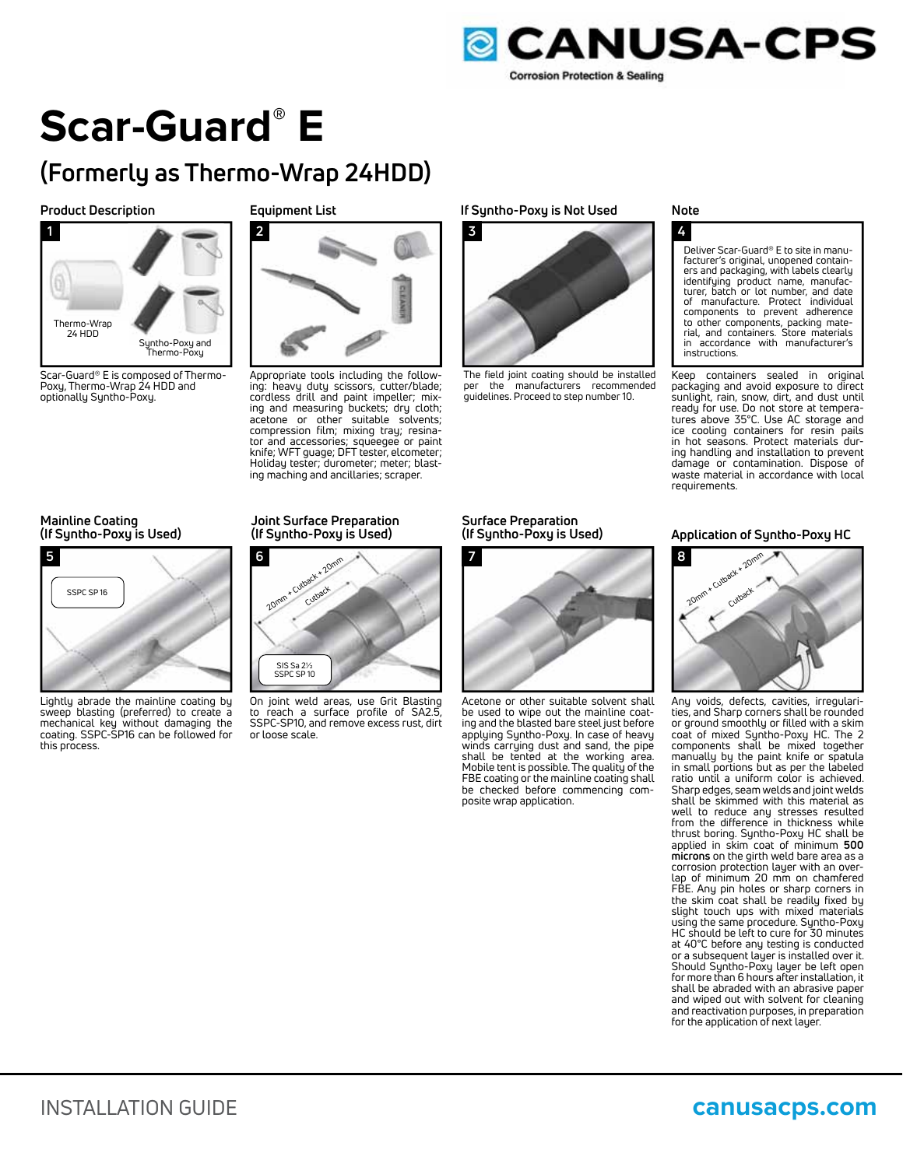

### **Scar-Guard® E**

#### **(Formerly as Thermo-Wrap 24HDD)**

#### **Product Description**

**1** Thermo-Wrap 24 HDD Syntho-Poxy and Thermo-Poxy

Scar-Guard® E is composed of Thermo-Poxy, Thermo-Wrap 24 HDD and optionally Syntho-Poxy.

#### **Equipment List**



Appropriate tools including the following: heavy duty scissors, cutter/blade; cordless drill and paint impeller; mixing and measuring buckets; dry cloth; acetone or other suitable solvents; compression film; mixing tray; resinator and accessories; squeegee or paint knife; WFT guage; DFT tester, elcometer; Holiday tester; durometer; meter; blasting maching and ancillaries; scraper.

#### **If Syntho-Poxy is Not Used**



The field joint coating should be installed<br>per the manufacturers recommended the manufacturers recommended guidelines. Proceed to step number 10.

#### **Note**

#### **4**

Deliver Scar-Guard® E to site in manufacturer's original, unopened containers and packaging, with labels clearly identifying product name, manufac-turer, batch or lot number, and date of manufacture. Protect individual components to prevent adherence to other components, packing mate-rial, and containers. Store materials in accordance with manufacturer's instructions.

Keep containers sealed in original packaging and avoid exposure to direct sunlight, rain, snow, dirt, and dust until ready for use. Do not store at temperatures above 35°C. Use AC storage and ice cooling containers for resin pails in hot seasons. Protect materials during handling and installation to prevent damage or contamination. Dispose of waste material in accordance with local requirements.

#### **Mainline Coating (If Syntho-Poxy is Used)**



Lightly abrade the mainline coating by sweep blasting (preferred) to create a mechanical key without damaging the coating. SSPC-SP16 can be followed for this process.

#### **Joint Surface Preparation (If Syntho-Poxy is Used)**



On joint weld areas, use Grit Blasting to reach a surface profile of SA2.5 SSPC-SP10, and remove excess rust, dirt or loose scale.

**Surface Preparation (If Syntho-Poxy is Used)**



Acetone or other suitable solvent shall be used to wipe out the mainline coating and the blasted bare steel just before applying Syntho-Poxy. In case of heavy winds carrying dust and sand, the pipe shall be tented at the working area. Mobile tent is possible. The quality of the FBE coating or the mainline coating shall be checked before commencing composite wrap application.

#### **Application of Syntho-Poxy HC**



Any voids, defects, cavities, irregularities, and Sharp corners shall be rounded or ground smoothly or filled with a skim coat of mixed Syntho-Poxy HC. The 2 components shall be mixed together manually by the paint knife or spatula in small portions but as per the labeled ratio until a uniform color is achieved. Sharp edges, seam welds and joint welds shall be skimmed with this material as well to reduce any stresses resulted from the difference in thickness while thrust boring. Syntho-Poxy HC shall be applied in skim coat of minimum **500 microns** on the girth weld bare area as a corrosion protection layer with an overlap of minimum 20 mm on chamfered FBE. Any pin holes or sharp corners in the skim coat shall be readily fixed by slight touch ups with mixed materials using the same procedure. Syntho-Poxy HC should be left to cure for 30 minutes at 40°C before any testing is conducted or a subsequent layer is installed over it. Should Syntho-Poxy layer be left open for more than 6 hours after installation, it shall be abraded with an abrasive paper and wiped out with solvent for cleaning and reactivation purposes, in preparation for the application of next layer.